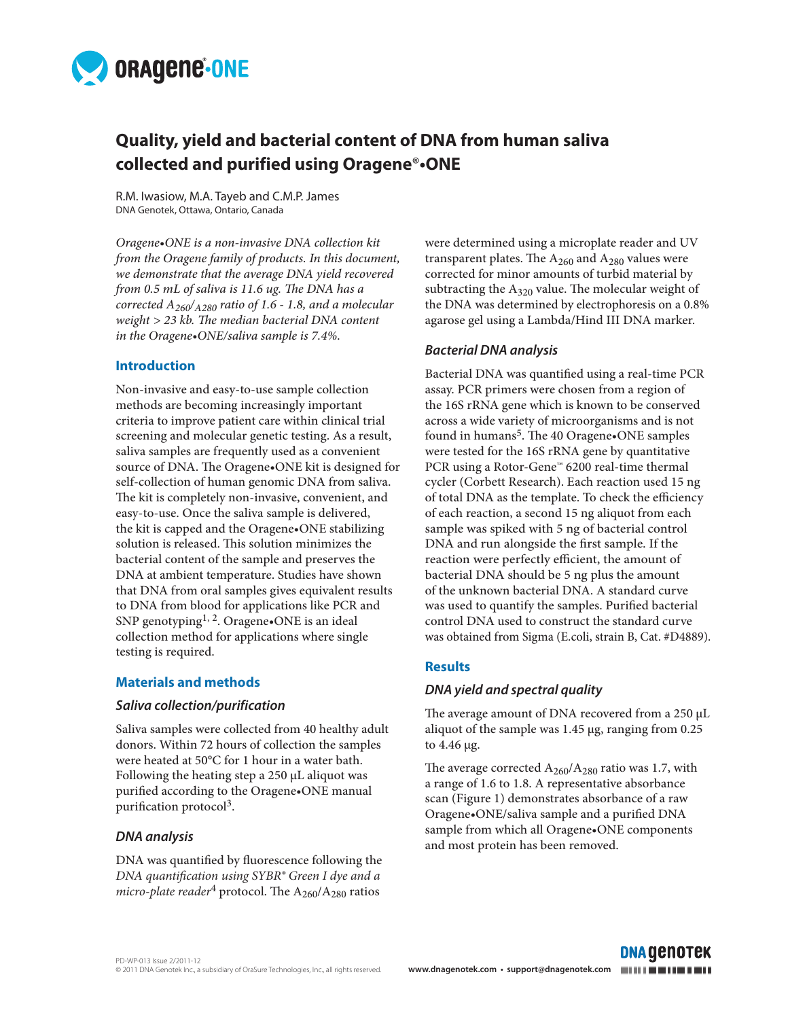

# **Quality, yield and bacterial content of DNA from human saliva collected and purified using Oragene**®**•ONE**

R.M. Iwasiow, M.A. Tayeb and C.M.P. James DNA Genotek, Ottawa, Ontario, Canada

*Oragene•ONE is a non-invasive DNA collection kit from the Oragene family of products. In this document, we demonstrate that the average DNA yield recovered from 0.5 mL of saliva is 11.6 ug. The DNA has a corrected A260/A280 ratio of 1.6 - 1.8, and a molecular weight > 23 kb. The median bacterial DNA content in the Oragene•ONE/saliva sample is 7.4%.*

# **Introduction**

Non-invasive and easy-to-use sample collection methods are becoming increasingly important criteria to improve patient care within clinical trial screening and molecular genetic testing. As a result, saliva samples are frequently used as a convenient source of DNA. The Oragene•ONE kit is designed for self-collection of human genomic DNA from saliva. The kit is completely non-invasive, convenient, and easy-to-use. Once the saliva sample is delivered, the kit is capped and the Oragene•ONE stabilizing solution is released. This solution minimizes the bacterial content of the sample and preserves the DNA at ambient temperature. Studies have shown that DNA from oral samples gives equivalent results to DNA from blood for applications like PCR and SNP genotyping<sup>1, 2</sup>. Oragene•ONE is an ideal collection method for applications where single testing is required.

#### **Materials and methods**

#### *Saliva collection/purification*

Saliva samples were collected from 40 healthy adult donors. Within 72 hours of collection the samples were heated at 50°C for 1 hour in a water bath. Following the heating step a 250 µL aliquot was purified according to the Oragene•ONE manual purification protocol<sup>3</sup>.

# *DNA analysis*

DNA was quantified by fluorescence following the *DNA quantification using SYBR® Green I dye and a micro-plate reader*<sup>4</sup> protocol. The  $A_{260}/A_{280}$  ratios

were determined using a microplate reader and UV transparent plates. The  $A_{260}$  and  $A_{280}$  values were corrected for minor amounts of turbid material by subtracting the  $A_{320}$  value. The molecular weight of the DNA was determined by electrophoresis on a 0.8% agarose gel using a Lambda/Hind III DNA marker.

# *Bacterial DNA analysis*

Bacterial DNA was quantified using a real-time PCR assay. PCR primers were chosen from a region of the 16S rRNA gene which is known to be conserved across a wide variety of microorganisms and is not found in humans<sup>5</sup>. The 40 Oragene•ONE samples were tested for the 16S rRNA gene by quantitative PCR using a Rotor-Gene™ 6200 real-time thermal cycler (Corbett Research). Each reaction used 15 ng of total DNA as the template. To check the efficiency of each reaction, a second 15 ng aliquot from each sample was spiked with 5 ng of bacterial control DNA and run alongside the first sample. If the reaction were perfectly efficient, the amount of bacterial DNA should be 5 ng plus the amount of the unknown bacterial DNA. A standard curve was used to quantify the samples. Purified bacterial control DNA used to construct the standard curve was obtained from Sigma (E.coli, strain B, Cat. #D4889).

# **Results**

# *DNA yield and spectral quality*

The average amount of DNA recovered from a 250 µL aliquot of the sample was 1.45 µg, ranging from 0.25 to 4.46 µg.

The average corrected  $A_{260}/A_{280}$  ratio was 1.7, with a range of 1.6 to 1.8. A representative absorbance scan (Figure 1) demonstrates absorbance of a raw Oragene•ONE/saliva sample and a purified DNA sample from which all Oragene•ONE components and most protein has been removed.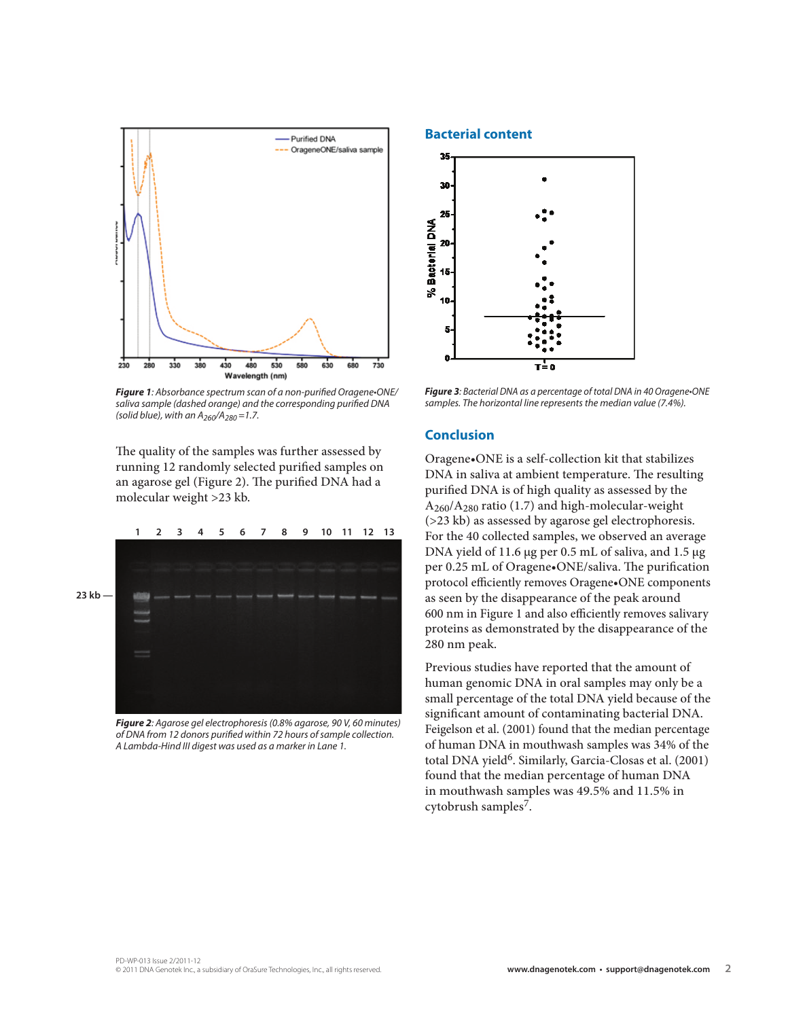

*Figure 1*: Absorbance spectrum scan of a non-purified Oragene•ONE/ saliva sample (dashed orange) and the corresponding purified DNA *(solid blue), with an A260*/A*280 =1.7.*

The quality of the samples was further assessed by running 12 randomly selected purified samples on an agarose gel (Figure 2). The purified DNA had a molecular weight >23 kb.



*Figure 2: Agarose gel electrophoresis (0.8% agarose, 90 V, 60 minutes)*  of DNA from 12 donors purified within 72 hours of sample collection. *A Lambda-Hind III digest was used as a marker in Lane 1.*

#### **Bacterial content**



*Figure 3*: Bacterial DNA as a percentage of total DNA in 40 Oragene•ONE samples. The horizontal line represents the median value (7.4%).

#### **Conclusion**

Oragene•ONE is a self-collection kit that stabilizes DNA in saliva at ambient temperature. The resulting purified DNA is of high quality as assessed by the  $A_{260}/A_{280}$  ratio (1.7) and high-molecular-weight (>23 kb) as assessed by agarose gel electrophoresis. For the 40 collected samples, we observed an average DNA yield of 11.6 µg per 0.5 mL of saliva, and 1.5 µg per 0.25 mL of Oragene•ONE/saliva. The purification protocol efficiently removes Oragene•ONE components as seen by the disappearance of the peak around 600 nm in Figure 1 and also efficiently removes salivary proteins as demonstrated by the disappearance of the 280 nm peak.

Previous studies have reported that the amount of human genomic DNA in oral samples may only be a small percentage of the total DNA yield because of the significant amount of contaminating bacterial DNA. Feigelson et al. (2001) found that the median percentage of human DNA in mouthwash samples was 34% of the total DNA yield<sup>6</sup>. Similarly, Garcia-Closas et al. (2001) found that the median percentage of human DNA in mouthwash samples was 49.5% and 11.5% in cytobrush samples7.